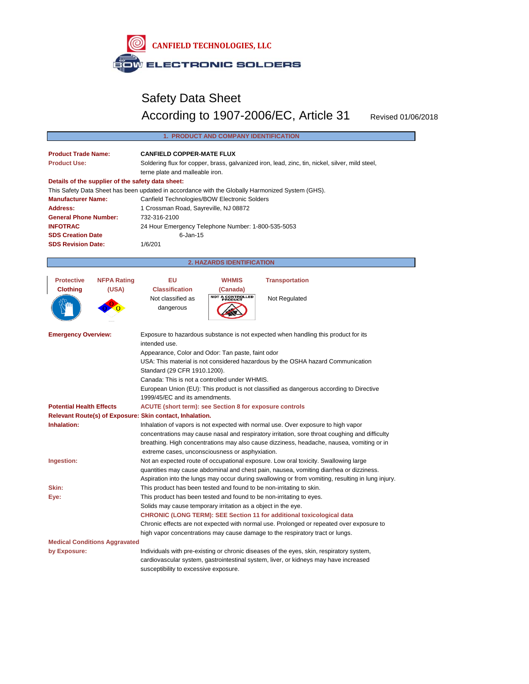

# Safety Data Sheet According to 1907-2006/EC, Article 31 Revised 01/06/2018

| 1. PRODUCT AND COMPANY IDENTIFICATION                                                                |  |  |
|------------------------------------------------------------------------------------------------------|--|--|
| <b>CANFIELD COPPER-MATE FLUX</b>                                                                     |  |  |
| Soldering flux for copper, brass, galvanized iron, lead, zinc, tin, nickel, silver, mild steel,      |  |  |
| terne plate and malleable iron.                                                                      |  |  |
| Details of the supplier of the safety data sheet:                                                    |  |  |
| This Safety Data Sheet has been updated in accordance with the Globally Harmonized System (GHS).     |  |  |
| Canfield Technologies/BOW Electronic Solders                                                         |  |  |
| 1 Crossman Road, Sayreville, NJ 08872                                                                |  |  |
| 732-316-2100                                                                                         |  |  |
| 24 Hour Emergency Telephone Number: 1-800-535-5053                                                   |  |  |
| $6 - Jan-15$                                                                                         |  |  |
| 1/6/201                                                                                              |  |  |
| <b>2. HAZARDS IDENTIFICATION</b>                                                                     |  |  |
|                                                                                                      |  |  |
| <b>NFPA Rating</b><br>EU<br><b>WHMIS</b><br><b>Transportation</b>                                    |  |  |
| <b>Classification</b><br>(Canada)                                                                    |  |  |
| <b>NOT A CONTROLLED<br/>PRODUCT</b><br>Not classified as<br>Not Regulated                            |  |  |
| dangerous                                                                                            |  |  |
|                                                                                                      |  |  |
| Exposure to hazardous substance is not expected when handling this product for its                   |  |  |
| intended use.                                                                                        |  |  |
| Appearance, Color and Odor: Tan paste, faint odor                                                    |  |  |
| USA: This material is not considered hazardous by the OSHA hazard Communication                      |  |  |
| Standard (29 CFR 1910.1200).                                                                         |  |  |
| Canada: This is not a controlled under WHMIS.                                                        |  |  |
| European Union (EU): This product is not classified as dangerous according to Directive              |  |  |
| 1999/45/EC and its amendments.                                                                       |  |  |
| <b>ACUTE (short term): see Section 8 for exposure controls</b>                                       |  |  |
| Relevant Route(s) of Exposure: Skin contact, Inhalation.                                             |  |  |
| Inhalation of vapors is not expected with normal use. Over exposure to high vapor                    |  |  |
| concentrations may cause nasal and respiratory irritation, sore throat coughing and difficulty       |  |  |
| breathing. High concentrations may also cause dizziness, headache, nausea, vomiting or in            |  |  |
| extreme cases, unconsciousness or asphyxiation.                                                      |  |  |
| Not an expected route of occupational exposure. Low oral toxicity. Swallowing large                  |  |  |
| Ingestion:<br>quantities may cause abdominal and chest pain, nausea, vomiting diarrhea or dizziness. |  |  |
| Aspiration into the lungs may occur during swallowing or from vomiting, resulting in lung injury.    |  |  |
| This product has been tested and found to be non-irritating to skin.                                 |  |  |
| This product has been tested and found to be non-irritating to eyes.                                 |  |  |
| Solids may cause temporary irritation as a object in the eye.                                        |  |  |
| <b>CHRONIC (LONG TERM): SEE Section 11 for additional toxicological data</b>                         |  |  |
| Chronic effects are not expected with normal use. Prolonged or repeated over exposure to             |  |  |
| high vapor concentrations may cause damage to the respiratory tract or lungs.                        |  |  |
| <b>Medical Conditions Aggravated</b>                                                                 |  |  |
| Individuals with pre-existing or chronic diseases of the eyes, skin, respiratory system,             |  |  |
| cardiovascular system, gastrointestinal system, liver, or kidneys may have increased                 |  |  |
| susceptibility to excessive exposure.                                                                |  |  |
|                                                                                                      |  |  |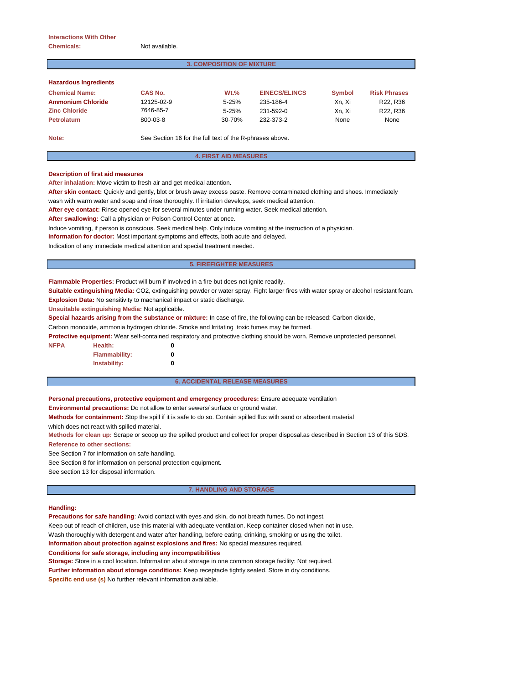## **Interactions With Other Chemicals:** Not available.

# **3. COMPOSITION OF MIXTURE**

| <b>Hazardous Ingredients</b> |  |  |
|------------------------------|--|--|
|                              |  |  |

| <b>Chemical Name:</b> | <b>CAS No.</b> | $Wt.$ %    | <b>EINECS/ELINCS</b> | <b>Symbol</b> | <b>Risk Phrases</b> |
|-----------------------|----------------|------------|----------------------|---------------|---------------------|
| Ammonium Chloride     | 12125-02-9     | $5 - 25%$  | 235-186-4            | Xn. Xi        | R22, R36            |
| <b>Zinc Chloride</b>  | 7646-85-7      | $5 - 25%$  | 231-592-0            | Xn. Xi        | R22, R36            |
| <b>Petrolatum</b>     | 800-03-8       | $30 - 70%$ | 232-373-2            | None          | None                |
|                       |                |            |                      |               |                     |

**Note:** See Section 16 for the full text of the R-phrases above.

# **4. FIRST AID MEASURES**

## **Description of first aid measures**

**After inhalation:** Move victim to fresh air and get medical attention.

**After skin contact:** Quickly and gently, blot or brush away excess paste. Remove contaminated clothing and shoes. Immediately

wash with warm water and soap and rinse thoroughly. If irritation develops, seek medical attention.

**After eye contact:** Rinse opened eye for several minutes under running water. Seek medical attention.

**After swallowing:** Call a physician or Poison Control Center at once.

Induce vomiting, if person is conscious. Seek medical help. Only induce vomiting at the instruction of a physician.

**Information for doctor:** Most important symptoms and effects, both acute and delayed.

Indication of any immediate medical attention and special treatment needed.

#### **5. FIREFIGHTER MEASURES**

**Flammable Properties:** Product will burn if involved in a fire but does not ignite readily.

**Suitable extinguishing Media:** CO2, extinguishing powder or water spray. Fight larger fires with water spray or alcohol resistant foam. **Explosion Data:** No sensitivity to machanical impact or static discharge.

**Unsuitable extinguishing Media:** Not applicable.

**Special hazards arising from the substance or mixture:** In case of fire, the following can be released: Carbon dioxide,

Carbon monoxide, ammonia hydrogen chloride. Smoke and Irritating toxic fumes may be formed.

**Protective equipment:** Wear self-contained respiratory and protective clothing should be worn. Remove unprotected personnel.

**NFPA Health: 0**

**Flammability: 0 Instability: 0**

## **6. ACCIDENTAL RELEASE MEASURES**

**Personal precautions, protective equipment and emergency procedures:** Ensure adequate ventilation

**Environmental precautions:** Do not allow to enter sewers/ surface or ground water.

**Methods for containment:** Stop the spill if it is safe to do so. Contain spilled flux with sand or absorbent material

which does not react with spilled material.

**Methods for clean up:** Scrape or scoop up the spilled product and collect for proper disposal.as described in Section 13 of this SDS.

**Reference to other sections:**

See Section 7 for information on safe handling.

See Section 8 for information on personal protection equipment.

See section 13 for disposal information.

## **7. HANDLING AND STORAGE**

## **Handling:**

**Precautions for safe handling**: Avoid contact with eyes and skin, do not breath fumes. Do not ingest.

Keep out of reach of children, use this material with adequate ventilation. Keep container closed when not in use.

Wash thoroughly with detergent and water after handling, before eating, drinking, smoking or using the toilet.

**Information about protection against explosions and fires:** No special measures required.

**Conditions for safe storage, including any incompatibilities**

**Storage:** Store in a cool location. Information about storage in one common storage facility: Not required. **Further information about storage conditions:** Keep receptacle tightly sealed. Store in dry conditions. **Specific end use (s)** No further relevant information available.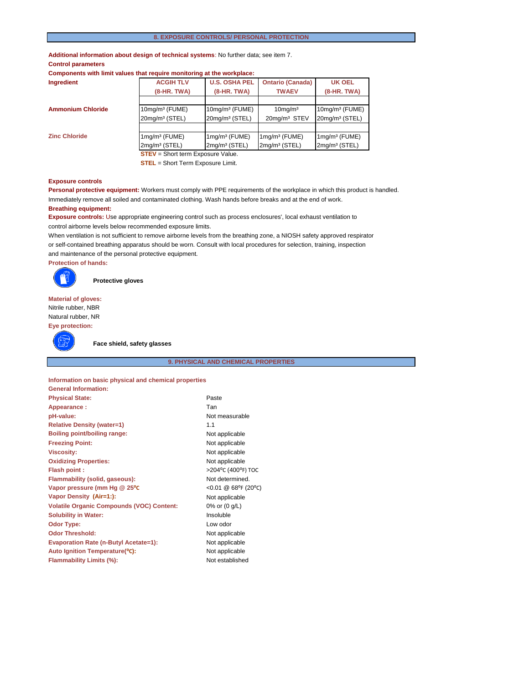# **8. EXPOSURE CONTROLS/ PERSONAL PROTECTION**

**Additional information about design of technical systems**: No further data; see item 7.

# **Control parameters**

**Components with limit values that require monitoring at the workplace:**

| Ingredient                               | <b>ACGIH TLV</b>           | <b>U.S. OSHA PEL</b>       | <b>Ontario (Canada)</b>   | <b>UK OEL</b>              |
|------------------------------------------|----------------------------|----------------------------|---------------------------|----------------------------|
|                                          | $(8-HR, TWA)$              | $(8-HR, TWA)$              | <b>TWAEV</b>              | $(8-HR. TWA)$              |
|                                          |                            |                            |                           |                            |
| <b>Ammonium Chloride</b>                 | $10$ mg/m $3$ (FUME)       | $10$ mg/m $3$ (FUME)       | $10$ mg/m $3$             | $10$ mg/m $3$ (FUME)       |
|                                          | 20mg/m <sup>3</sup> (STEL) | 20mg/m <sup>3</sup> (STEL) | 20mg/m <sup>3</sup> STEV  | 20mg/m <sup>3</sup> (STEL) |
|                                          |                            |                            |                           |                            |
| <b>Zinc Chloride</b>                     | $1$ mg/m $3$ (FUME)        | $1mg/m3$ (FUME)            | $1$ mg/m $3$ (FUME)       | $1$ mg/m $3$ (FUME)        |
|                                          | 2mg/m <sup>3</sup> (STEL)  | 2mg/m <sup>3</sup> (STEL)  | 2mg/m <sup>3</sup> (STEL) | 2mg/m <sup>3</sup> (STEL)  |
| <b>STEV</b> = Short term Exposure Value. |                            |                            |                           |                            |

**STEL** = Short Term Exposure Limit.

#### **Exposure controls**

**Personal protective equipment:** Workers must comply with PPE requirements of the workplace in which this product is handled. Immediately remove all soiled and contaminated clothing. Wash hands before breaks and at the end of work.

## **Breathing equipment:**

**Exposure controls:** Use appropriate engineering control such as process enclosures', local exhaust ventilation to control airborne levels below recommended exposure limits.

When ventilation is not sufficient to remove airborne levels from the breathing zone, a NIOSH safety approved respirator or self-contained breathing apparatus should be worn. Consult with local procedures for selection, training, inspection and maintenance of the personal protective equipment.

**Protection of hands:**



**Protective gloves**

**Material of gloves:** Nitrile rubber, NBR Natural rubber, NR **Eye protection:**

**General Information:**



**Face shield, safety glasses**

# **9. PHYSICAL AND CHEMICAL PROPERTIES**

**Information on basic physical and chemical properties**

| ____________________                             |                     |
|--------------------------------------------------|---------------------|
| <b>Physical State:</b>                           | Paste               |
| Appearance:                                      | Tan                 |
| pH-value:                                        | Not measurable      |
| <b>Relative Density (water=1)</b>                | 1.1                 |
| <b>Boiling point/boiling range:</b>              | Not applicable      |
| <b>Freezing Point:</b>                           | Not applicable      |
| <b>Viscosity:</b>                                | Not applicable      |
| <b>Oxidizing Properties:</b>                     | Not applicable      |
| <b>Flash point:</b>                              | >204°C (400°F) TOC  |
| Flammability (solid, gaseous):                   | Not determined.     |
| Vapor pressure (mm Hg @ 25°C                     | <0.01 @ 68°F (20°C) |
| Vapor Density (Air=1:):                          | Not applicable      |
| <b>Volatile Organic Compounds (VOC) Content:</b> | 0% or (0 g/L)       |
| <b>Solubility in Water:</b>                      | Insoluble           |
| <b>Odor Type:</b>                                | Low odor            |
| <b>Odor Threshold:</b>                           | Not applicable      |
| <b>Evaporation Rate (n-Butyl Acetate=1):</b>     | Not applicable      |
| Auto Ignition Temperature(°C):                   | Not applicable      |
| Flammability Limits (%):                         | Not established     |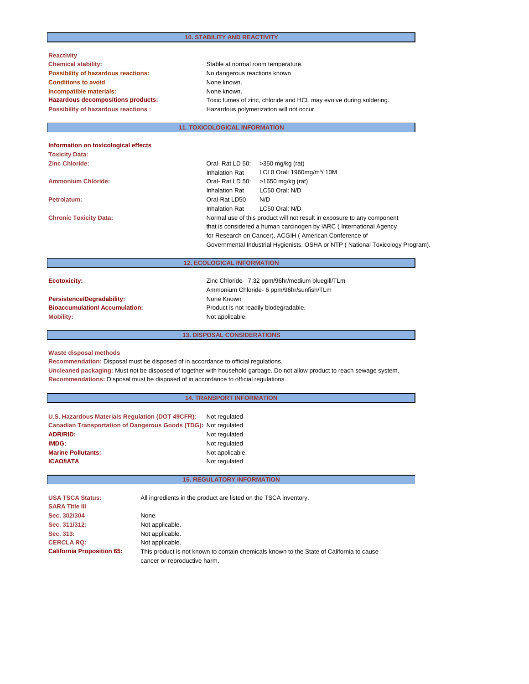| <b>Reactivity</b>                          |                                                                    |
|--------------------------------------------|--------------------------------------------------------------------|
| <b>Chemical stability:</b>                 | Stable at normal room temperature.                                 |
| <b>Possibility of hazardous reactions:</b> | No dangerous reactions known                                       |
| <b>Conditions to avoid</b>                 | None known.                                                        |
| Incompatible materials:                    | None known.                                                        |
| Hazardous decompositions products:         | Toxic fumes of zinc, chloride and HCL may evolve during soldering. |
| <b>Possibility of hazardous reactions:</b> | Hazardous polymerization will not occur.                           |
|                                            |                                                                    |

# **11. TOXICOLOGICAL INFORMATION**

| Information on toxicological effects |                                                                                                                               |                                                                                |  |
|--------------------------------------|-------------------------------------------------------------------------------------------------------------------------------|--------------------------------------------------------------------------------|--|
| <b>Toxicity Data:</b>                |                                                                                                                               |                                                                                |  |
| <b>Zinc Chloride:</b>                | Oral-Rat LD 50:                                                                                                               | $>350$ mg/kg (rat)                                                             |  |
|                                      | <b>Inhalation Rat</b>                                                                                                         | LCL0 Oral: 1960mg/m <sup>3</sup> / 10M                                         |  |
| <b>Ammonium Chloride:</b>            | Oral-Rat LD 50:                                                                                                               | $>1650$ mg/kg (rat)                                                            |  |
|                                      | <b>Inhalation Rat</b>                                                                                                         | LC50 Oral: N/D                                                                 |  |
| Petrolatum:                          | Oral-Rat LD50                                                                                                                 | N/D                                                                            |  |
|                                      | Inhalation Rat                                                                                                                | LC50 Oral: N/D                                                                 |  |
| <b>Chronic Toxicity Data:</b>        |                                                                                                                               | Normal use of this product will not result in exposure to any component        |  |
|                                      | that is considered a human carcinogen by IARC (International Agency<br>for Research on Cancer), ACGIH (American Conference of |                                                                                |  |
|                                      |                                                                                                                               |                                                                                |  |
|                                      |                                                                                                                               | Governmental Industrial Hygienists, OSHA or NTP (National Toxicology Program). |  |
|                                      | <b>12. ECOLOGICAL INFORMATION</b>                                                                                             |                                                                                |  |
|                                      |                                                                                                                               |                                                                                |  |
| <b>Ecotoxicity:</b>                  |                                                                                                                               | Zinc Chloride- 7.32 ppm/96hr/medium bluegill/TLm                               |  |
|                                      |                                                                                                                               | Ammonium Chloride- 6 ppm/96hr/sunfish/TLm                                      |  |
| Persistence/Degradability:           | None Known                                                                                                                    |                                                                                |  |
| <b>Bioaccumulation/Accumulation:</b> |                                                                                                                               | Product is not readily biodegradable.                                          |  |
| <b>Mobility:</b>                     | Not applicable.                                                                                                               |                                                                                |  |

**Waste disposal methods**

**Recommendation:** Disposal must be disposed of in accordance to official regulations.

**Uncleaned packaging:** Must not be disposed of together with household garbage. Do not allow product to reach sewage system. **Recommendations:** Disposal must be disposed of in accordance to official regulations.

**13. DISPOSAL CONSIDERATIONS**

| <b>14. TRANSPORT INFORMATION</b>                                |                                   |  |
|-----------------------------------------------------------------|-----------------------------------|--|
|                                                                 |                                   |  |
| U.S. Hazardous Materials Regulation (DOT 49CFR):                | Not regulated                     |  |
| Canadian Transportation of Dangerous Goods (TDG): Not regulated |                                   |  |
| <b>ADR/RID:</b>                                                 | Not regulated                     |  |
| <b>IMDG:</b>                                                    | Not regulated                     |  |
| <b>Marine Pollutants:</b>                                       | Not applicable.                   |  |
| <b>ICAO/IATA</b>                                                | Not regulated                     |  |
|                                                                 |                                   |  |
|                                                                 | <b>15. REGULATORY INFORMATION</b> |  |

# **USA TSCA Status:** All ingredients in the product are listed on the TSCA inventory. **SARA Title III Sec. 302/304** None Sec. 311/312: Not applicable. Sec. 313: Not applicable. **CERCLA RQ:** Not applicable. **California Proposition 65:** This product is not known to contain chemicals known to the State of California to cause cancer or reproductive harm.